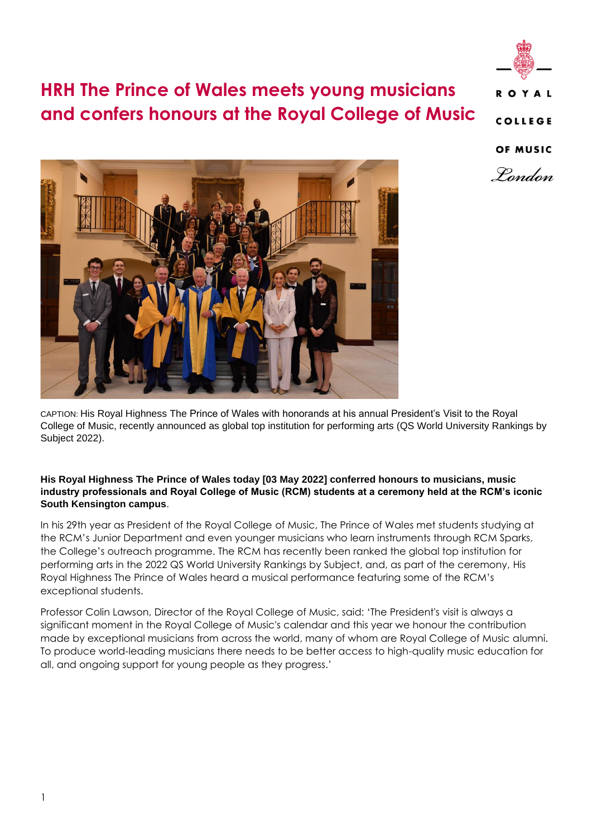

# **HRH The Prince of Wales meets young musicians and confers honours at the Royal College of Music**

OF MUSIC





CAPTION: His Royal Highness The Prince of Wales with honorands at his annual President's Visit to the Royal College of Music, recently announced as global top institution for performing arts (QS World University Rankings by Subject 2022).

### **His Royal Highness The Prince of Wales today [03 May 2022] conferred honours to musicians, music industry professionals and Royal College of Music (RCM) students at a ceremony held at the RCM's iconic South Kensington campus**.

In his 29th year as President of the Royal College of Music, The Prince of Wales met students studying at the RCM's Junior Department and even younger musicians who learn instruments through RCM Sparks, the College's outreach programme. The RCM has recently been ranked the global top institution for performing arts in the 2022 QS World University Rankings by Subject, and, as part of the ceremony, His Royal Highness The Prince of Wales heard a musical performance featuring some of the RCM's exceptional students.

Professor Colin Lawson, Director of the Royal College of Music, said: 'The President's visit is always a significant moment in the Royal College of Music's calendar and this year we honour the contribution made by exceptional musicians from across the world, many of whom are Royal College of Music alumni. To produce world-leading musicians there needs to be better access to high-quality music education for all, and ongoing support for young people as they progress.'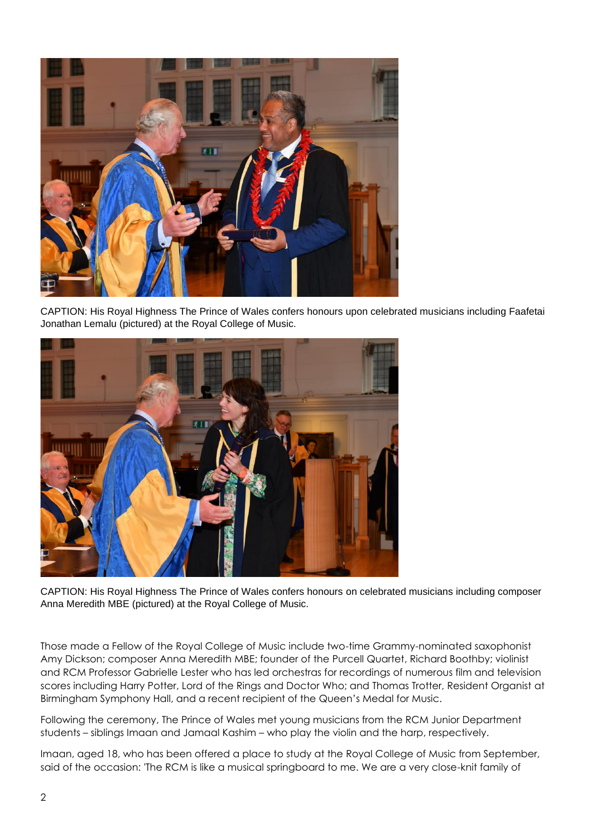

CAPTION: His Royal Highness The Prince of Wales confers honours upon celebrated musicians including Faafetai Jonathan Lemalu (pictured) at the Royal College of Music.



CAPTION: His Royal Highness The Prince of Wales confers honours on celebrated musicians including composer Anna Meredith MBE (pictured) at the Royal College of Music.

Those made a Fellow of the Royal College of Music include two-time Grammy-nominated saxophonist Amy Dickson; composer Anna Meredith MBE; founder of the Purcell Quartet, Richard Boothby; violinist and RCM Professor Gabrielle Lester who has led orchestras for recordings of numerous film and television scores including Harry Potter, Lord of the Rings and Doctor Who; and Thomas Trotter, Resident Organist at Birmingham Symphony Hall, and a recent recipient of the Queen's Medal for Music.

Following the ceremony, The Prince of Wales met young musicians from the RCM Junior Department students – siblings Imaan and Jamaal Kashim – who play the violin and the harp, respectively.

Imaan, aged 18, who has been offered a place to study at the Royal College of Music from September, said of the occasion: 'The RCM is like a musical springboard to me. We are a very close-knit family of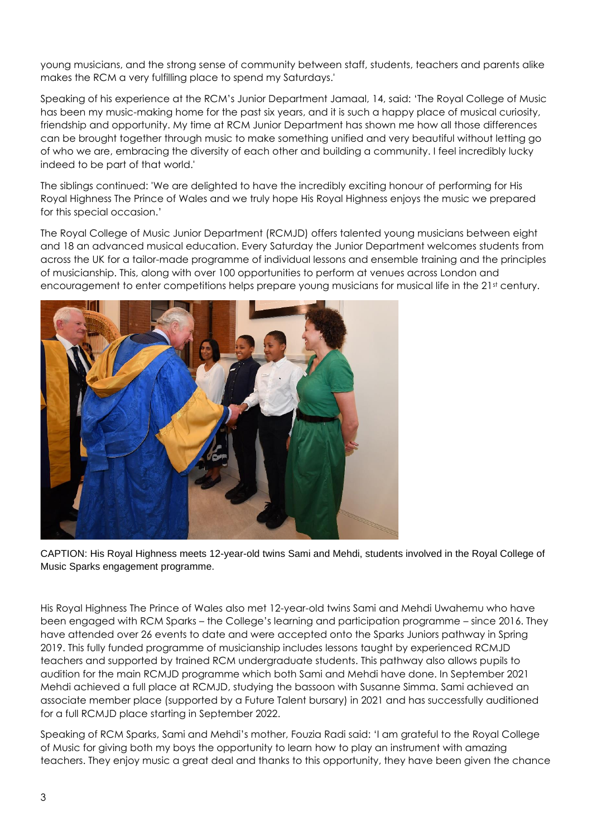young musicians, and the strong sense of community between staff, students, teachers and parents alike makes the RCM a very fulfilling place to spend my Saturdays.'

Speaking of his experience at the RCM's Junior Department Jamaal, 14, said: 'The Royal College of Music has been my music-making home for the past six years, and it is such a happy place of musical curiosity, friendship and opportunity. My time at RCM Junior Department has shown me how all those differences can be brought together through music to make something unified and very beautiful without letting go of who we are, embracing the diversity of each other and building a community. I feel incredibly lucky indeed to be part of that world.'

The siblings continued: 'We are delighted to have the incredibly exciting honour of performing for His Royal Highness The Prince of Wales and we truly hope His Royal Highness enjoys the music we prepared for this special occasion.'

The Royal College of Music Junior Department (RCMJD) offers talented young musicians between eight and 18 an advanced musical education. Every Saturday the Junior Department welcomes students from across the UK for a tailor-made programme of individual lessons and ensemble training and the principles of musicianship. This, along with over 100 opportunities to perform at venues across London and encouragement to enter competitions helps prepare young musicians for musical life in the 21st century.



CAPTION: His Royal Highness meets 12-year-old twins Sami and Mehdi, students involved in the Royal College of Music Sparks engagement programme.

His Royal Highness The Prince of Wales also met 12-year-old twins Sami and Mehdi Uwahemu who have been engaged with RCM Sparks – the College's learning and participation programme – since 2016. They have attended over 26 events to date and were accepted onto the Sparks Juniors pathway in Spring 2019. This fully funded programme of musicianship includes lessons taught by experienced RCMJD teachers and supported by trained RCM undergraduate students. This pathway also allows pupils to audition for the main RCMJD programme which both Sami and Mehdi have done. In September 2021 Mehdi achieved a full place at RCMJD, studying the bassoon with Susanne Simma. Sami achieved an associate member place (supported by a Future Talent bursary) in 2021 and has successfully auditioned for a full RCMJD place starting in September 2022.

Speaking of RCM Sparks, Sami and Mehdi's mother, Fouzia Radi said: 'I am grateful to the Royal College of Music for giving both my boys the opportunity to learn how to play an instrument with amazing teachers. They enjoy music a great deal and thanks to this opportunity, they have been given the chance